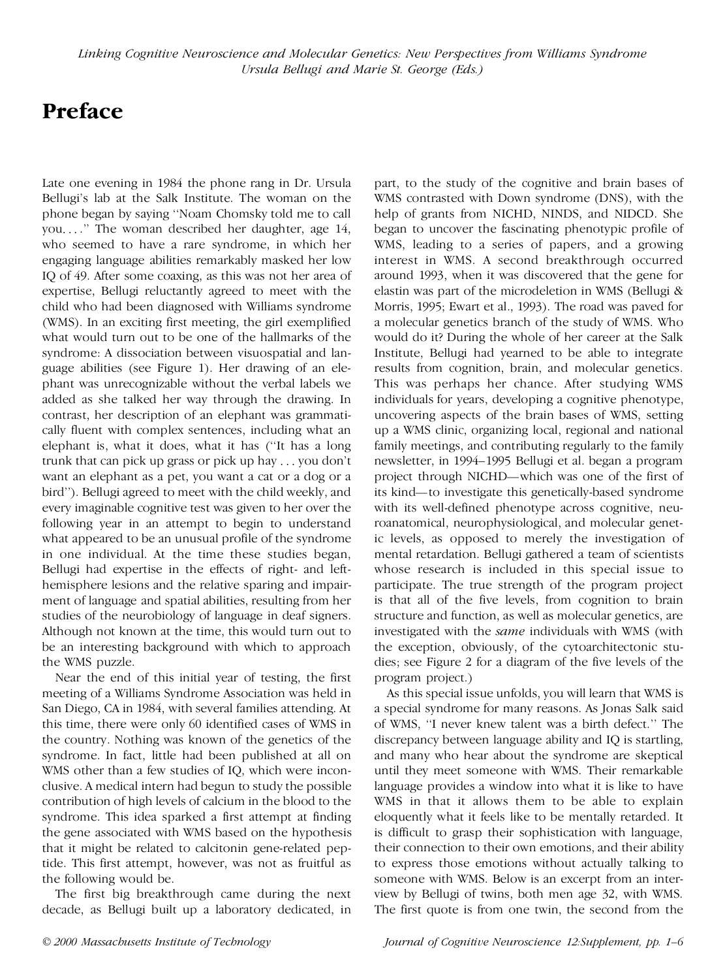# **Preface**

Late one evening in 1984 the phone rang in Dr. Ursula Bellugi's lab at the Salk Institute. The woman on the phone began by saying ''Noam Chomsky told me to call you. . . .'' The woman described her daughter, age 14, who seemed to have a rare syndrome, in which her engaging language abilities remarkably masked her low IQ of 49. After some coaxing, as this was not her area of expertise, Bellugi reluctantly agreed to meet with the child who had been diagnosed with Williams syndrome (WMS). In an exciting first meeting, the girl exemplified what would turn out to be one of the hallmarks of the syndrome: A dissociation between visuospatial and language abilities (see Figure 1). Her drawing of an elephant was unrecognizable without the verbal labels we added as she talked her way through the drawing. In contrast, her description of an elephant was grammatically fluent with complex sentences, including what an elephant is, what it does, what it has (''It has a long trunk that can pick up grass or pick up hay .. . you don't want an elephant as a pet, you want a cat or a dog or a bird''). Bellugi agreed to meet with the child weekly, and every imaginable cognitive test was given to her over the following year in an attempt to begin to understand what appeared to be an unusual profile of the syndrome in one individual. At the time these studies began, Bellugi had expertise in the effects of right- and lefthemisphere lesions and the relative sparing and impairment of language and spatial abilities, resulting from her studies of the neurobiology of language in deaf signers. Although not known at the time, this would turn out to be an interesting background with which to approach the WMS puzzle.

Near the end of this initial year of testing, the first meeting of a Williams Syndrome Association was held in San Diego, CA in 1984, with several families attending. At this time, there were only 60 identified cases of WMS in the country. Nothing was known of the genetics of the syndrome. In fact, little had been published at all on WMS other than a few studies of IQ, which were inconclusive. A medical intern had begun to study the possible contribution of high levels of calcium in the blood to the syndrome. This idea sparked a first attempt at finding the gene associated with WMS based on the hypothesis that it might be related to calcitonin gene-related peptide. This first attempt, however, was not as fruitful as the following would be.

The first big breakthrough came during the next decade, as Bellugi built up a laboratory dedicated, in part, to the study of the cognitive and brain bases of WMS contrasted with Down syndrome (DNS), with the help of grants from NICHD, NINDS, and NIDCD. She began to uncover the fascinating phenotypic profile of WMS, leading to a series of papers, and a growing interest in WMS. A second breakthrough occurred around 1993, when it was discovered that the gene for elastin was part of the microdeletion in WMS (Bellugi & Morris, 1995; Ewart et al., 1993). The road was paved for a molecular genetics branch of the study of WMS. Who would do it? During the whole of her career at the Salk Institute, Bellugi had yearned to be able to integrate results from cognition, brain, and molecular genetics. This was perhaps her chance. After studying WMS individuals for years, developing a cognitive phenotype, uncovering aspects of the brain bases of WMS, setting up a WMS clinic, organizing local, regional and national family meetings, and contributing regularly to the family newsletter, in 1994–1995 Bellugi et al. began a program project through NICHD—which was one of the first of its kind—to investigate this genetically-based syndrome with its well-defined phenotype across cognitive, neuroanatomical, neurophysiological, and molecular genetic levels, as opposed to merely the investigation of mental retardation. Bellugi gathered a team of scientists whose research is included in this special issue to participate. The true strength of the program project is that all of the five levels, from cognition to brain structure and function, as well as molecular genetics, are investigated with the *same* individuals with WMS (with the exception, obviously, of the cytoarchitectonic studies; see Figure 2 for a diagram of the five levels of the program project.)

As this special issue unfolds, you will learn that WMS is a special syndrome for many reasons. As Jonas Salk said of WMS, ''I never knew talent was a birth defect.'' The discrepancy between language ability and IQ is startling, and many who hear about the syndrome are skeptical until they meet someone with WMS. Their remarkable language provides a window into what it is like to have WMS in that it allows them to be able to explain eloquently what it feels like to be mentally retarded. It is difficult to grasp their sophistication with language, their connection to their own emotions, and their ability to express those emotions without actually talking to someone with WMS. Below is an excerpt from an interview by Bellugi of twins, both men age 32, with WMS. The first quote is from one twin, the second from the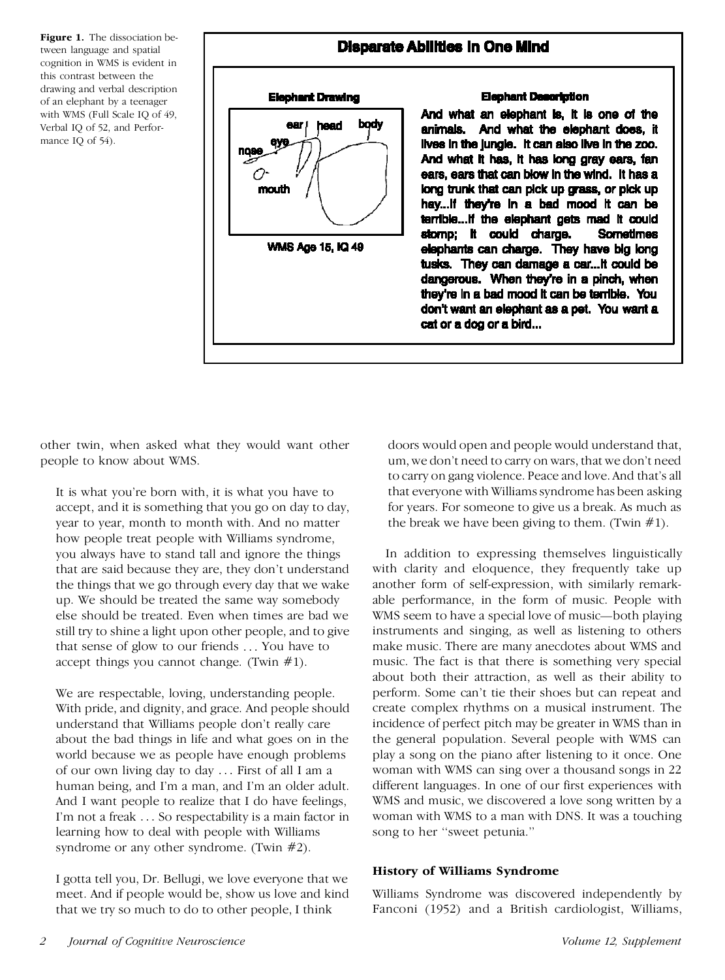**Figure 1.** The dissociation between language and spatial cognition in WMS is evident in this contrast between the drawing and verbal description of an elephant by a teenager with WMS (Full Scale IQ of 49, Verbal IQ of 52, and Perfor mance IQ of 54).



## **WMS Age 15, IQ 49**

#### **Elephant Description**

And what an elephant is, it is one of the animals. And what the elephant does, it lives in the jungle. It can also live in the zoo. And what it has, it has long gray ears, fan ears, ears that can blow in the wind. It has a long trunk that can pick up grass, or pick up hay...If they're in a bad mood it can be terrible...If the elephant gets mad it could stomp; it could charge. **Sometimes** elephants can charge. They have big long tusks. They can damage a car...It could be dangerous. When they're in a pinch, when they're in a bad mood it can be terrible. You don't want an elephant as a pet. You want a cat or a dog or a bird...

other twin, when asked what they would want other people to know about WMS.

It is what you're born with, it is what you have to accept, and it is something that you go on day to day, year to year, month to month with. And no matter how people treat people with Williams syndrome, you always have to stand tall and ignore the things that are said because they are, they don't understand the things that we go through every day that we wake up. We should be treated the same way somebody else should be treated. Even when times are bad we still try to shine a light upon other people, and to give that sense of glow to our friends . . . You have to accept things you cannot change. (Twin #1).

We are respectable, loving, understanding people. With pride, and dignity, and grace. And people should understand that Williams people don't really care about the bad things in life and what goes on in the world because we as people have enough problems of our own living day to day . . . First of all I am a human being, and I'm a man, and I'm an older adult. And I want people to realize that I do have feelings, I'm not a freak . . . So respectability is a main factor in learning how to deal with people with Williams syndrome or any other syndrome. (Twin  $#2$ ).

I gotta tell you, Dr. Bellugi, we love everyone that we meet. And if people would be, show us love and kind that we try so much to do to other people, I think

doors would open and people would understand that, um, we don't need to carry on wars, that we don't need to carry on gang violence. Peace and love. And that's all that everyone with Williams syndrome has been asking for years. For someone to give us a break. As much as the break we have been giving to them. (Twin  $#1$ ).

In addition to expressing themselves linguistically with clarity and eloquence, they frequently take up another form of self-expression, with similarly remarkable performance, in the form of music. People with WMS seem to have a special love of music—both playing instruments and singing, as well as listening to others make music. There are many anecdotes about WMS and music. The fact is that there is something very special about both their attraction, as well as their ability to perform. Some can't tie their shoes but can repeat and create complex rhythms on a musical instrument. The incidence of perfect pitch may be greater in WMS than in the general population. Several people with WMS can play a song on the piano after listening to it once. One woman with WMS can sing over a thousand songs in 22 different languages. In one of our first experiences with WMS and music, we discovered a love song written by a woman with WMS to a man with DNS. It was a touching song to her ''sweet petunia.''

### **History of Williams Syndrome**

Williams Syndrome was discovered independently by Fanconi (1952) and a British cardiologist, Williams,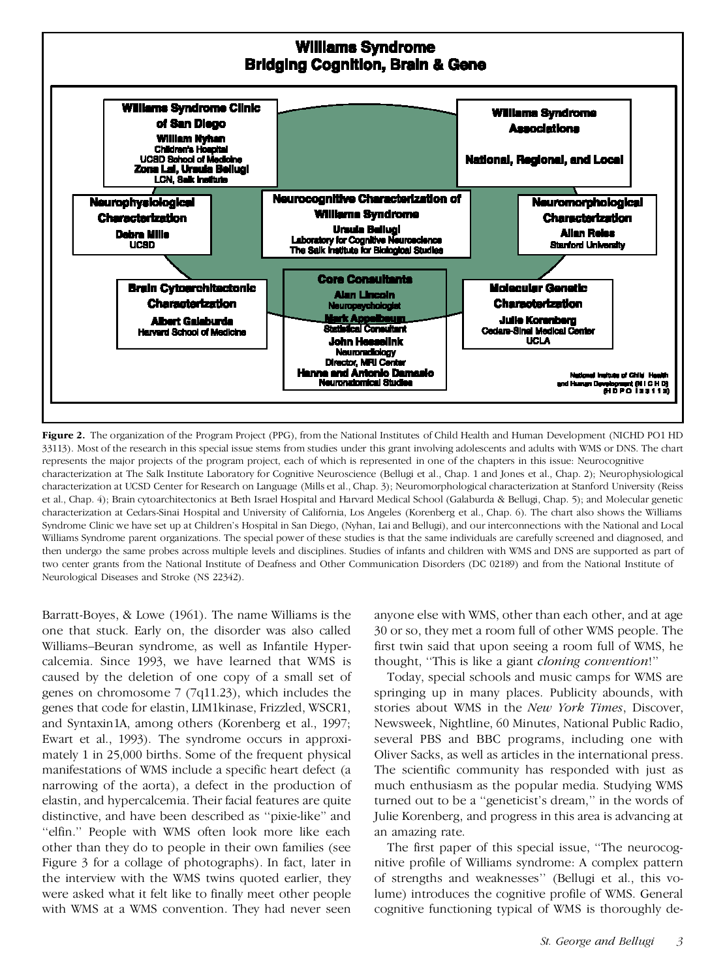

**Figure 2.** The organization of the Program Project (PPG), from the National Institutes of Child Health and Human Development (NICHD PO1 HD 33113). Most of the research in this special issue stems from studies under this grant involving adolescents and adults with WMS or DNS. The chart represents the major projects of the program project, each of which is represented in one of the chapters in this issue: Neurocognitive characterization at The Salk Institute Laboratory for Cognitive Neuroscience (Bellugi et al., Chap. 1 and Jones et al., Chap. 2); Neurophysiological characterization at UCSD Center for Research on Language (Mills et al., Chap. 3); Neuromorphological characterization at Stanford University (Reiss et al., Chap. 4); Brain cytoarchitectonics at Beth Israel Hospital and Harvard Medical School (Galaburda & Bellugi, Chap. 5); and Molecular genetic characterization at Cedars-Sinai Hospital and University of California, Los Angeles (Korenberg et al., Chap. 6). The chart also shows the Williams Syndrome Clinic we have set up at Children's Hospital in San Diego, (Nyhan, Lai and Bellugi), and our interconnections with the National and Local Williams Syndrome parent organizations. The special power of these studies is that the same individuals are carefully screened and diagnosed, and then undergo the same probes across multiple levels and disciplines. Studies of infants and children with WMS and DNS are supported as part of two center grants from the National Institute of Deafness and Other Communication Disorders (DC 02189) and from the National Institute of Neurological Diseases and Stroke (NS 22342).

Barratt-Boyes, & Lowe (1961). The name Williams is the one that stuck. Early on, the disorder was also called Williams–Beuran syndrome, as well as Infantile Hypercalcemia. Since 1993, we have learned that WMS is caused by the deletion of one copy of a small set of genes on chromosome 7 (7q11.23), which includes the genes that code for elastin, LIM1kinase, Frizzled, WSCR1, and Syntaxin1A, among others (Korenberg et al., 1997; Ewart et al., 1993). The syndrome occurs in approximately 1 in 25,000 births. Some of the frequent physical manifestations of WMS include a specific heart defect (a narrowing of the aorta), a defect in the production of elastin, and hypercalcemia. Their facial features are quite distinctive, and have been described as ''pixie-like'' and ''elfin.'' People with WMS often look more like each other than they do to people in their own families (see Figure 3 for a collage of photographs). In fact, later in the interview with the WMS twins quoted earlier, they were asked what it felt like to finally meet other people with WMS at a WMS convention. They had never seen anyone else with WMS, other than each other, and at age 30 or so, they met a room full of other WMS people. The first twin said that upon seeing a room full of WMS, he thought, ''This is like a giant *cloning convention*!''

Today, special schools and music camps for WMS are springing up in many places. Publicity abounds, with stories about WMS in the *New York Times*, Discover, Newsweek, Nightline, 60 Minutes, National Public Radio, several PBS and BBC programs, including one with Oliver Sacks, as well as articles in the international press. The scientific community has responded with just as much enthusiasm as the popular media. Studying WMS turned out to be a ''geneticist's dream,'' in the words of Julie Korenberg, and progress in this area is advancing at an amazing rate.

The first paper of this special issue, ''The neurocognitive profile of Williams syndrome: A complex pattern of strengths and weaknesses'' (Bellugi et al., this volume) introduces the cognitive profile of WMS. General cognitive functioning typical of WMS is thoroughly de-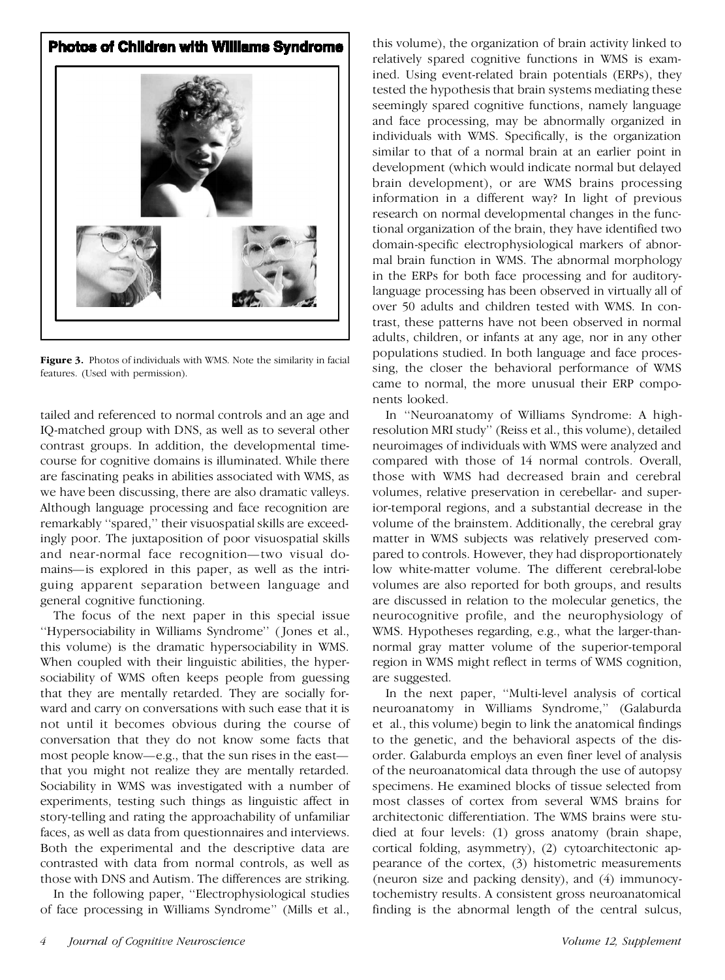

**Figure 3.** Photos of individuals with WMS. Note the similarity in facial features. (Used with permission).

tailed and referenced to normal controls and an age and IQ-matched group with DNS, as well as to several other contrast groups. In addition, the developmental timecourse for cognitive domains is illuminated. While there are fascinating peaks in abilities associated with WMS, as we have been discussing, there are also dramatic valleys. Although language processing and face recognition are remarkably ''spared,'' their visuospatial skills are exceedingly poor. The juxtaposition of poor visuospatial skills and near-normal face recognition—two visual domains—is explored in this paper, as well as the intriguing apparent separation between language and general cognitive functioning.

The focus of the next paper in this special issue ''Hypersociability in Williams Syndrome'' ( Jones et al., this volume) is the dramatic hypersociability in WMS. When coupled with their linguistic abilities, the hypersociability of WMS often keeps people from guessing that they are mentally retarded. They are socially forward and carry on conversations with such ease that it is not until it becomes obvious during the course of conversation that they do not know some facts that most people know—e.g., that the sun rises in the east that you might not realize they are mentally retarded. Sociability in WMS was investigated with a number of experiments, testing such things as linguistic affect in story-telling and rating the approachability of unfamiliar faces, as well as data from questionnaires and interviews. Both the experimental and the descriptive data are contrasted with data from normal controls, as well as those with DNS and Autism. The differences are striking.

In the following paper, ''Electrophysiological studies of face processing in Williams Syndrome'' (Mills et al.,

this volume), the organization of brain activity linked to relatively spared cognitive functions in WMS is examined. Using event-related brain potentials (ERPs), they tested the hypothesis that brain systems mediating these seemingly spared cognitive functions, namely language and face processing, may be abnormally organized in individuals with WMS. Specifically, is the organization similar to that of a normal brain at an earlier point in development (which would indicate normal but delayed brain development), or are WMS brains processing information in a different way? In light of previous research on normal developmental changes in the functional organization of the brain, they have identified two domain-specific electrophysiological markers of abnormal brain function in WMS. The abnormal morphology in the ERPs for both face processing and for auditorylanguage processing has been observed in virtually all of over 50 adults and children tested with WMS. In contrast, these patterns have not been observed in normal adults, children, or infants at any age, nor in any other populations studied. In both language and face processing, the closer the behavioral performance of WMS came to normal, the more unusual their ERP components looked.

In ''Neuroanatomy of Williams Syndrome: A highresolution MRI study'' (Reiss et al., this volume), detailed neuroimages of individuals with WMS were analyzed and compared with those of 14 normal controls. Overall, those with WMS had decreased brain and cerebral volumes, relative preservation in cerebellar- and superior-temporal regions, and a substantial decrease in the volume of the brainstem. Additionally, the cerebral gray matter in WMS subjects was relatively preserved compared to controls. However, they had disproportionately low white-matter volume. The different cerebral-lobe volumes are also reported for both groups, and results are discussed in relation to the molecular genetics, the neurocognitive profile, and the neurophysiology of WMS. Hypotheses regarding, e.g., what the larger-thannormal gray matter volume of the superior-temporal region in WMS might reflect in terms of WMS cognition, are suggested.

In the next paper, ''Multi-level analysis of cortical neuroanatomy in Williams Syndrome,'' (Galaburda et al., this volume) begin to link the anatomical findings to the genetic, and the behavioral aspects of the disorder. Galaburda employs an even finer level of analysis of the neuroanatomical data through the use of autopsy specimens. He examined blocks of tissue selected from most classes of cortex from several WMS brains for architectonic differentiation. The WMS brains were studied at four levels: (1) gross anatomy (brain shape, cortical folding, asymmetry), (2) cytoarchitectonic appearance of the cortex, (3) histometric measurements (neuron size and packing density), and (4) immunocytochemistry results. A consistent gross neuroanatomical finding is the abnormal length of the central sulcus,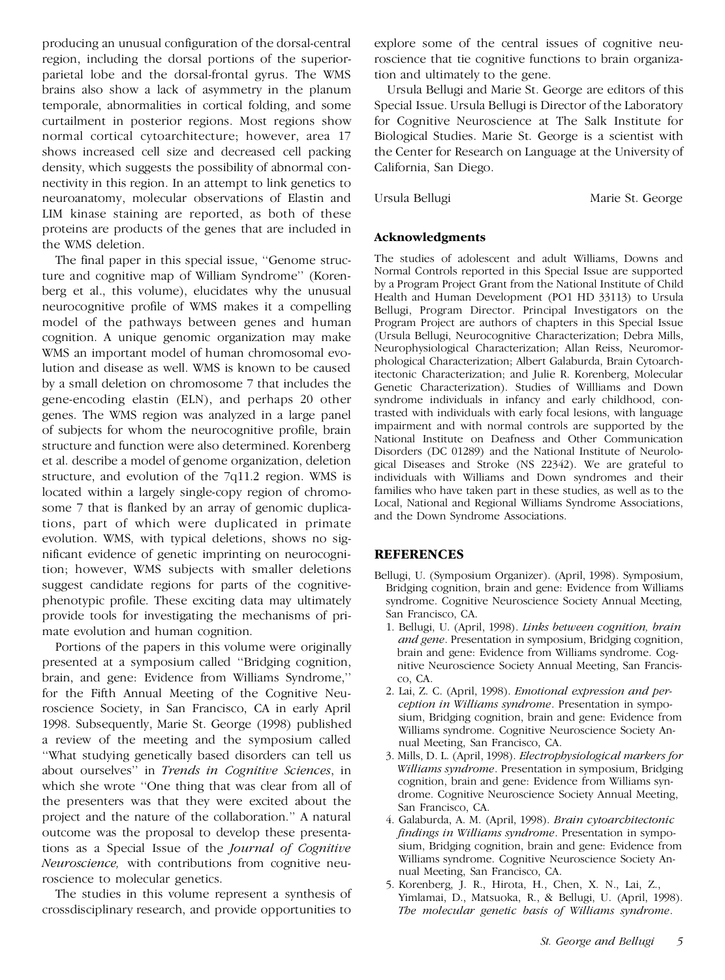producing an unusual configuration of the dorsal-central region, including the dorsal portions of the superiorparietal lobe and the dorsal-frontal gyrus. The WMS brains also show a lack of asymmetry in the planum temporale, abnormalities in cortical folding, and some curtailment in posterior regions. Most regions show normal cortical cytoarchitecture; however, area 17 shows increased cell size and decreased cell packing density, which suggests the possibility of abnormal connectivity in this region. In an attempt to link genetics to neuroanatomy, molecular observations of Elastin and LIM kinase staining are reported, as both of these proteins are products of the genes that are included in the WMS deletion.

The final paper in this special issue, ''Genome structure and cognitive map of William Syndrome'' (Korenberg et al., this volume), elucidates why the unusual neurocognitive profile of WMS makes it a compelling model of the pathways between genes and human cognition. A unique genomic organization may make WMS an important model of human chromosomal evolution and disease as well. WMS is known to be caused by a small deletion on chromosome 7 that includes the gene-encoding elastin (ELN), and perhaps 20 other genes. The WMS region was analyzed in a large panel of subjects for whom the neurocognitive profile, brain structure and function were also determined. Korenberg et al. describe a model of genome organization, deletion structure, and evolution of the 7q11.2 region. WMS is located within a largely single-copy region of chromosome 7 that is flanked by an array of genomic duplications, part of which were duplicated in primate evolution. WMS, with typical deletions, shows no significant evidence of genetic imprinting on neurocognition; however, WMS subjects with smaller deletions suggest candidate regions for parts of the cognitivephenotypic profile. These exciting data may ultimately provide tools for investigating the mechanisms of primate evolution and human cognition.

Portions of the papers in this volume were originally presented at a symposium called ''Bridging cognition, brain, and gene: Evidence from Williams Syndrome,'' for the Fifth Annual Meeting of the Cognitive Neuroscience Society, in San Francisco, CA in early April 1998. Subsequently, Marie St. George (1998) published a review of the meeting and the symposium called ''What studying genetically based disorders can tell us about ourselves'' in *Trends in Cognitive Sciences*, in which she wrote ''One thing that was clear from all of the presenters was that they were excited about the project and the nature of the collaboration.'' A natural outcome was the proposal to develop these presentations as a Special Issue of the *Journal of Cognitive Neuroscience,* with contributions from cognitive neuroscience to molecular genetics.

The studies in this volume represent a synthesis of crossdisciplinary research, and provide opportunities to

explore some of the central issues of cognitive neuroscience that tie cognitive functions to brain organization and ultimately to the gene.

Ursula Bellugi and Marie St. George are editors of this Special Issue. Ursula Bellugi is Director of the Laboratory for Cognitive Neuroscience at The Salk Institute for Biological Studies. Marie St. George is a scientist with the Center for Research on Language at the University of California, San Diego.

Marie St. George

### **Acknowledgments**

The studies of adolescent and adult Williams, Downs and Normal Controls reported in this Special Issue are supported by a Program Project Grant from the National Institute of Child Health and Human Development (PO1 HD 33113) to Ursula Bellugi, Program Director. Principal Investigators on the Program Project are authors of chapters in this Special Issue (Ursula Bellugi, Neurocognitive Characterization; Debra Mills, Neurophysiological Characterization; Allan Reiss, Neuromorphological Characterization; Albert Galaburda, Brain Cytoarchitectonic Characterization; and Julie R. Korenberg, Molecular Genetic Characterization). Studies of Willliams and Down syndrome individuals in infancy and early childhood, contrasted with individuals with early focal lesions, with language impairment and with normal controls are supported by the National Institute on Deafness and Other Communication Disorders (DC 01289) and the National Institute of Neurological Diseases and Stroke (NS 22342). We are grateful to individuals with Williams and Down syndromes and their families who have taken part in these studies, as well as to the Local, National and Regional Williams Syndrome Associations, and the Down Syndrome Associations.

### **REFERENCES**

- Bellugi, U. (Symposium Organizer). (April, 1998). Symposium, Bridging cognition, brain and gene: Evidence from Williams syndrome. Cognitive Neuroscience Society Annual Meeting, San Francisco, CA.
	- 1. Bellugi, U. (April, 1998). *Links between cognition, brain and gene*. Presentation in symposium, Bridging cognition, brain and gene: Evidence from Williams syndrome. Cognitive Neuroscience Society Annual Meeting, San Francisco, CA.
	- 2. Lai, Z. C. (April, 1998). *Emotional expression and perception in Williams syndrome*. Presentation in symposium, Bridging cognition, brain and gene: Evidence from Williams syndrome. Cognitive Neuroscience Society Annual Meeting, San Francisco, CA.
	- 3. Mills, D. L. (April, 1998). *Electrophysiological markers for Williams syndrome*. Presentation in symposium, Bridging cognition, brain and gene: Evidence from Williams syndrome. Cognitive Neuroscience Society Annual Meeting, San Francisco, CA.
	- 4. Galaburda, A. M. (April, 1998). *Brain cytoarchitectonic findings in Williams syndrome*. Presentation in symposium, Bridging cognition, brain and gene: Evidence from Williams syndrome. Cognitive Neuroscience Society Annual Meeting, San Francisco, CA.
	- 5. Korenberg, J. R., Hirota, H., Chen, X. N., Lai, Z., Yimlamai, D., Matsuoka, R., & Bellugi, U. (April, 1998). *The molecular genetic basis of Williams syndrome*.